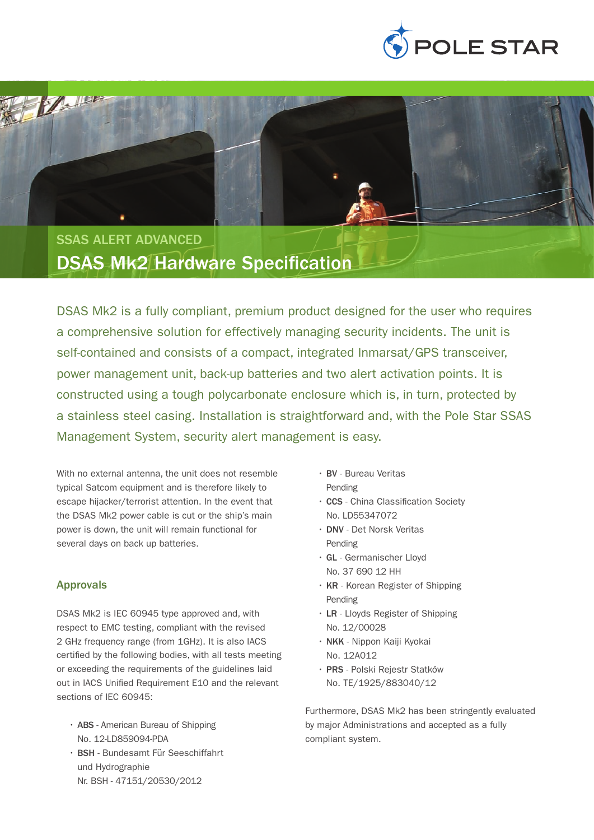

SSAS ALERT ADVANCED DSAS Mk2 Hardware Specification

DSAS Mk2 is a fully compliant, premium product designed for the user who requires a comprehensive solution for effectively managing security incidents. The unit is self-contained and consists of a compact, integrated Inmarsat/GPS transceiver, power management unit, back-up batteries and two alert activation points. It is constructed using a tough polycarbonate enclosure which is, in turn, protected by a stainless steel casing. Installation is straightforward and, with the Pole Star SSAS Management System, security alert management is easy.

With no external antenna, the unit does not resemble typical Satcom equipment and is therefore likely to escape hijacker/terrorist attention. In the event that the DSAS Mk2 power cable is cut or the ship's main power is down, the unit will remain functional for several days on back up batteries.

## Approvals

**MARK** 

DSAS Mk2 is IEC 60945 type approved and, with respect to EMC testing, compliant with the revised 2 GHz frequency range (from 1GHz). It is also IACS certified by the following bodies, with all tests meeting or exceeding the requirements of the guidelines laid out in IACS Unified Requirement E10 and the relevant sections of IFC 60945:

- ABS American Bureau of Shipping No. 12-LD859094-PDA
- • BSH Bundesamt Für Seeschiffahrt und Hydrographie Nr. BSH - 47151/20530/2012
- • BV Bureau Veritas Pending
- • CCS China Classification Society No. LD55347072
- • DNV Det Norsk Veritas Pending
- • GL Germanischer Lloyd No. 37 690 12 HH
- KR Korean Register of Shipping Pending
- • LR Lloyds Register of Shipping No. 12/00028
- • NKK Nippon Kaiji Kyokai No. 12A012
- • PRS Polski Rejestr Statków No. TE/1925/883040/12

Furthermore, DSAS Mk2 has been stringently evaluated by major Administrations and accepted as a fully compliant system.